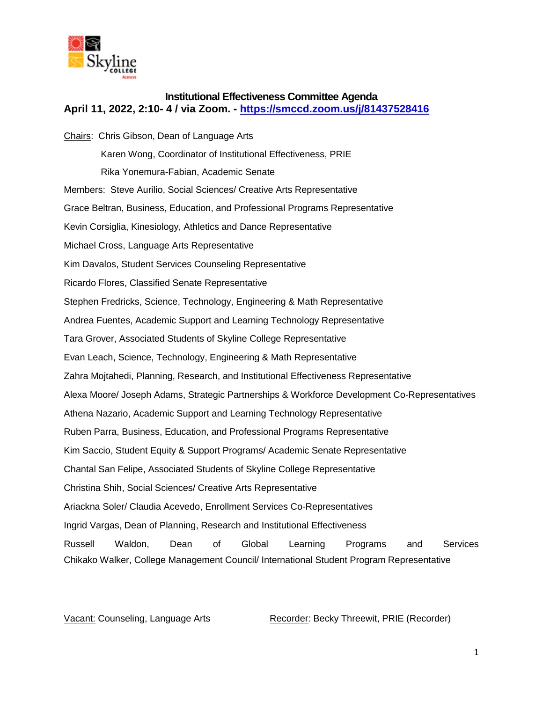

## **Institutional Effectiveness Committee Agenda April 11, 2022, 2:10- 4 / via Zoom. - <https://smccd.zoom.us/j/81437528416>**

Chairs: Chris Gibson, Dean of Language Arts Karen Wong, Coordinator of Institutional Effectiveness, PRIE Rika Yonemura-Fabian, Academic Senate Members: Steve Aurilio, Social Sciences/ Creative Arts Representative Grace Beltran, Business, Education, and Professional Programs Representative Kevin Corsiglia, Kinesiology, Athletics and Dance Representative Michael Cross, Language Arts Representative Kim Davalos, Student Services Counseling Representative Ricardo Flores, Classified Senate Representative Stephen Fredricks, Science, Technology, Engineering & Math Representative Andrea Fuentes, Academic Support and Learning Technology Representative Tara Grover, Associated Students of Skyline College Representative Evan Leach, Science, Technology, Engineering & Math Representative Zahra Mojtahedi, Planning, Research, and Institutional Effectiveness Representative Alexa Moore/ Joseph Adams, Strategic Partnerships & Workforce Development Co-Representatives Athena Nazario, Academic Support and Learning Technology Representative Ruben Parra, Business, Education, and Professional Programs Representative Kim Saccio, Student Equity & Support Programs/ Academic Senate Representative Chantal San Felipe, Associated Students of Skyline College Representative Christina Shih, Social Sciences/ Creative Arts Representative Ariackna Soler/ Claudia Acevedo, Enrollment Services Co-Representatives Ingrid Vargas, Dean of Planning, Research and Institutional Effectiveness Russell Waldon, Dean of Global Learning Programs and Services Chikako Walker, College Management Council/ International Student Program Representative

Vacant: Counseling, Language Arts Recorder: Becky Threewit, PRIE (Recorder)